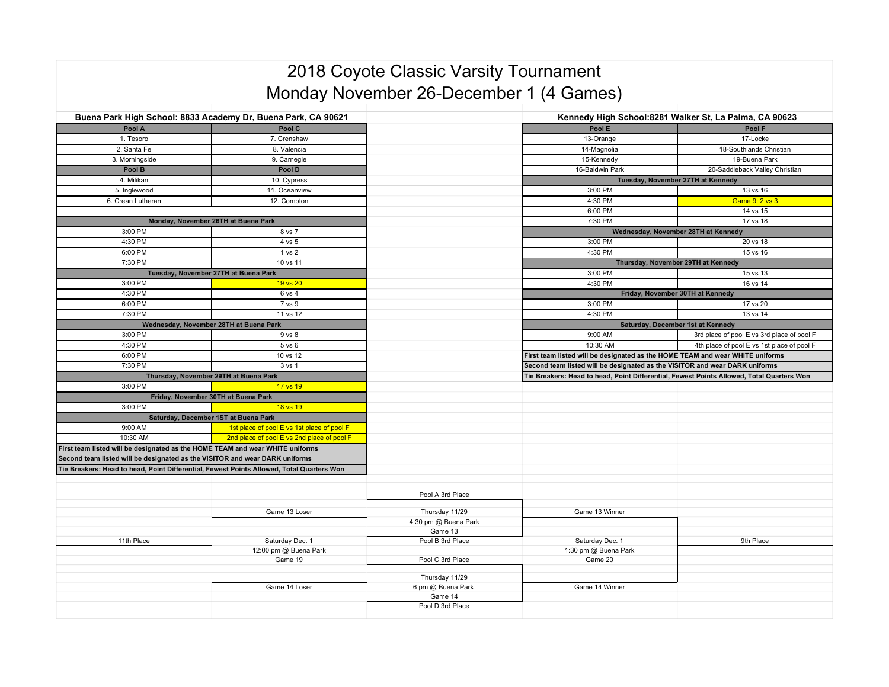## 2018 Coyote Classic Varsity Tournament Monday November 26-December 1 (4 Games)

| Buena Park High School: 8833 Academy Dr, Buena Park, CA 90621                             |                                            |                      | Kennedy High School:8281 Walker St, La Palma, CA 90623                                    |                                            |  |
|-------------------------------------------------------------------------------------------|--------------------------------------------|----------------------|-------------------------------------------------------------------------------------------|--------------------------------------------|--|
| Pool A                                                                                    | Pool C                                     |                      | Pool E                                                                                    | Pool F                                     |  |
| 1. Tesoro                                                                                 | 7. Crenshaw                                |                      | 13-Orange                                                                                 | 17-Locke                                   |  |
| 2. Santa Fe                                                                               | 8. Valencia                                |                      | 14-Magnolia                                                                               | 18-Southlands Christian                    |  |
| 3. Morningside                                                                            | 9. Carnegie                                |                      | 15-Kennedy                                                                                | 19-Buena Park                              |  |
| Pool B                                                                                    | Pool D                                     |                      | 16-Baldwin Park                                                                           | 20-Saddleback Valley Christian             |  |
| 4. Milikan                                                                                | 10. Cypress                                |                      | Tuesday, November 27TH at Kennedy                                                         |                                            |  |
| 5. Inglewood                                                                              | 11. Oceanview                              |                      | 3:00 PM                                                                                   | 13 vs 16                                   |  |
| 6. Crean Lutheran                                                                         | 12. Compton                                |                      | 4:30 PM                                                                                   | Game 9: 2 vs 3                             |  |
|                                                                                           |                                            |                      | 6:00 PM                                                                                   | 14 vs 15                                   |  |
| Monday, November 26TH at Buena Park                                                       |                                            |                      | 7:30 PM                                                                                   | 17 vs 18                                   |  |
| 3:00 PM                                                                                   | 8 vs 7                                     |                      |                                                                                           | Wednesday, November 28TH at Kennedy        |  |
| 4:30 PM                                                                                   | 4 vs 5                                     |                      | 3:00 PM                                                                                   | 20 vs 18                                   |  |
| 6:00 PM                                                                                   | 1 vs 2                                     |                      | 4:30 PM                                                                                   | 15 vs 16                                   |  |
| 7:30 PM                                                                                   | 10 vs 11                                   |                      |                                                                                           | Thursday, November 29TH at Kennedy         |  |
|                                                                                           | Tuesday, November 27TH at Buena Park       |                      | 3:00 PM                                                                                   | 15 vs 13                                   |  |
| 3:00 PM                                                                                   | 19 vs 20                                   |                      | 4:30 PM                                                                                   | 16 vs 14                                   |  |
| 4:30 PM                                                                                   | 6 vs 4                                     |                      | Friday, November 30TH at Kennedy                                                          |                                            |  |
| 6:00 PM                                                                                   | 7 vs 9                                     |                      | 3:00 PM                                                                                   | 17 vs 20                                   |  |
| 7:30 PM                                                                                   | 11 vs 12                                   |                      | 4:30 PM                                                                                   | 13 vs 14                                   |  |
| Wednesday, November 28TH at Buena Park                                                    |                                            |                      | Saturday, December 1st at Kennedy                                                         |                                            |  |
| 3:00 PM                                                                                   | 9 vs 8                                     |                      | 9:00 AM                                                                                   | 3rd place of pool E vs 3rd place of pool F |  |
| 4:30 PM                                                                                   | 5 vs 6                                     |                      | 10:30 AM                                                                                  | 4th place of pool E vs 1st place of pool F |  |
| 6:00 PM                                                                                   | 10 vs 12                                   |                      | First team listed will be designated as the HOME TEAM and wear WHITE uniforms             |                                            |  |
| 7:30 PM                                                                                   | 3 vs 1                                     |                      | Second team listed will be designated as the VISITOR and wear DARK uniforms               |                                            |  |
| Thursday, November 29TH at Buena Park                                                     |                                            |                      | Tie Breakers: Head to head, Point Differential, Fewest Points Allowed, Total Quarters Won |                                            |  |
| 3:00 PM                                                                                   | 17 vs 19                                   |                      |                                                                                           |                                            |  |
|                                                                                           | Friday, November 30TH at Buena Park        |                      |                                                                                           |                                            |  |
| 3:00 PM<br>18 vs 19                                                                       |                                            |                      |                                                                                           |                                            |  |
| Saturday, December 1ST at Buena Park                                                      |                                            |                      |                                                                                           |                                            |  |
| 9:00 AM                                                                                   | 1st place of pool E vs 1st place of pool F |                      |                                                                                           |                                            |  |
| 10:30 AM                                                                                  | 2nd place of pool E vs 2nd place of pool F |                      |                                                                                           |                                            |  |
| First team listed will be designated as the HOME TEAM and wear WHITE uniforms             |                                            |                      |                                                                                           |                                            |  |
| Second team listed will be designated as the VISITOR and wear DARK uniforms               |                                            |                      |                                                                                           |                                            |  |
| Tie Breakers: Head to head, Point Differential, Fewest Points Allowed, Total Quarters Won |                                            |                      |                                                                                           |                                            |  |
|                                                                                           |                                            |                      |                                                                                           |                                            |  |
|                                                                                           |                                            | Pool A 3rd Place     |                                                                                           |                                            |  |
|                                                                                           |                                            |                      |                                                                                           |                                            |  |
|                                                                                           | Game 13 Loser                              | Thursday 11/29       | Game 13 Winner                                                                            |                                            |  |
|                                                                                           |                                            | 4:30 pm @ Buena Park |                                                                                           |                                            |  |
|                                                                                           |                                            | Game 13              |                                                                                           |                                            |  |
| 11th Place                                                                                | Saturday Dec. 1                            | Pool B 3rd Place     | Saturday Dec. 1                                                                           | 9th Place                                  |  |
|                                                                                           | 12:00 pm @ Buena Park                      |                      | 1:30 pm @ Buena Park                                                                      |                                            |  |
|                                                                                           | Game 19                                    | Pool C 3rd Place     | Game 20                                                                                   |                                            |  |
|                                                                                           |                                            | Thursday 11/29       |                                                                                           |                                            |  |
|                                                                                           | Game 14 Loser                              | 6 pm @ Buena Park    | Game 14 Winner                                                                            |                                            |  |
|                                                                                           |                                            |                      |                                                                                           |                                            |  |
|                                                                                           |                                            | Game 14              |                                                                                           |                                            |  |
|                                                                                           |                                            | Pool D 3rd Place     |                                                                                           |                                            |  |